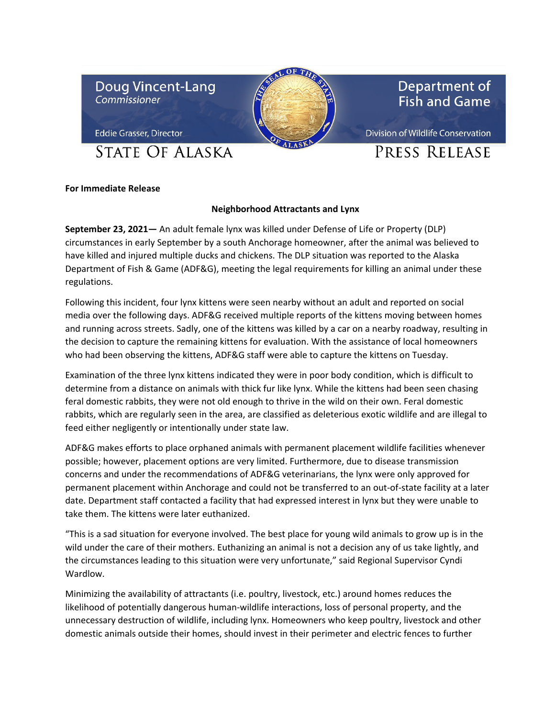



Department of **Fish and Game** 

**Eddie Grasser, Director** 

**STATE OF ALASKA** 

Division of Wildlife Conservation

## PRESS RELEASE

## **For Immediate Release**

## **Neighborhood Attractants and Lynx**

**September 23, 2021—** An adult female lynx was killed under Defense of Life or Property (DLP) circumstances in early September by a south Anchorage homeowner, after the animal was believed to have killed and injured multiple ducks and chickens. The DLP situation was reported to the Alaska Department of Fish & Game (ADF&G), meeting the legal requirements for killing an animal under these regulations.

Following this incident, four lynx kittens were seen nearby without an adult and reported on social media over the following days. ADF&G received multiple reports of the kittens moving between homes and running across streets. Sadly, one of the kittens was killed by a car on a nearby roadway, resulting in the decision to capture the remaining kittens for evaluation. With the assistance of local homeowners who had been observing the kittens, ADF&G staff were able to capture the kittens on Tuesday.

Examination of the three lynx kittens indicated they were in poor body condition, which is difficult to determine from a distance on animals with thick fur like lynx. While the kittens had been seen chasing feral domestic rabbits, they were not old enough to thrive in the wild on their own. Feral domestic rabbits, which are regularly seen in the area, are classified as deleterious exotic wildlife and are illegal to feed either negligently or intentionally under state law.

ADF&G makes efforts to place orphaned animals with permanent placement wildlife facilities whenever possible; however, placement options are very limited. Furthermore, due to disease transmission concerns and under the recommendations of ADF&G veterinarians, the lynx were only approved for permanent placement within Anchorage and could not be transferred to an out-of-state facility at a later date. Department staff contacted a facility that had expressed interest in lynx but they were unable to take them. The kittens were later euthanized.

"This is a sad situation for everyone involved. The best place for young wild animals to grow up is in the wild under the care of their mothers. Euthanizing an animal is not a decision any of us take lightly, and the circumstances leading to this situation were very unfortunate," said Regional Supervisor Cyndi Wardlow.

Minimizing the availability of attractants (i.e. poultry, livestock, etc.) around homes reduces the likelihood of potentially dangerous human-wildlife interactions, loss of personal property, and the unnecessary destruction of wildlife, including lynx. Homeowners who keep poultry, livestock and other domestic animals outside their homes, should invest in their perimeter and electric fences to further